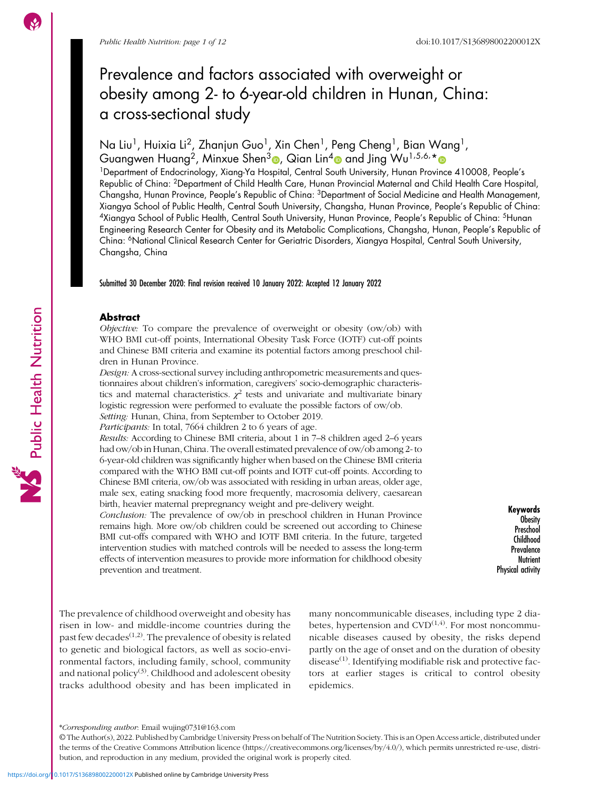Public Health Nutrition

# Prevalence and factors associated with overweight or obesity among 2- to 6-year-old children in Hunan, China: a cross-sectional study

Na Liu<sup>1</sup>, Huixia Li<sup>2</sup>, Zhanjun Guo<sup>1</sup>, Xin Chen<sup>1</sup>, Peng Cheng<sup>1</sup>, Bian Wang<sup>1</sup>, Guangwen Huang<sup>2</sup>, Minxue Shen $^3$ ®, Qian Lin $^4$ ® and Jing Wu $^{1.5.6,\star}$ 

1Department of Endocrinology, Xiang-Ya Hospital, Central South University, Hunan Province 410008, People's Republic of China: 2Department of Child Health Care, Hunan Provincial Maternal and Child Health Care Hospital, Changsha, Hunan Province, People's Republic of China: 3Department of Social Medicine and Health Management, Xiangya School of Public Health, Central South University, Changsha, Hunan Province, People's Republic of China: 4Xiangya School of Public Health, Central South University, Hunan Province, People's Republic of China: 5Hunan Engineering Research Center for Obesity and its Metabolic Complications, Changsha, Hunan, People's Republic of China: 6National Clinical Research Center for Geriatric Disorders, Xiangya Hospital, Central South University, Changsha, China

Submitted 30 December 2020: Final revision received 10 January 2022: Accepted 12 January 2022

## Abstract

Objective: To compare the prevalence of overweight or obesity (ow/ob) with WHO BMI cut-off points, International Obesity Task Force (IOTF) cut-off points and Chinese BMI criteria and examine its potential factors among preschool children in Hunan Province.

Design: A cross-sectional survey including anthropometric measurements and questionnaires about children's information, caregivers' socio-demographic characteristics and maternal characteristics.  $\chi^2$  tests and univariate and multivariate binary logistic regression were performed to evaluate the possible factors of ow/ob. Setting: Hunan, China, from September to October 2019.

Participants: In total, 7664 children 2 to 6 years of age.

Results: According to Chinese BMI criteria, about 1 in 7–8 children aged 2–6 years had ow/ob in Hunan, China. The overall estimated prevalence of ow/ob among 2- to 6-year-old children was significantly higher when based on the Chinese BMI criteria compared with the WHO BMI cut-off points and IOTF cut-off points. According to Chinese BMI criteria, ow/ob was associated with residing in urban areas, older age, male sex, eating snacking food more frequently, macrosomia delivery, caesarean birth, heavier maternal prepregnancy weight and pre-delivery weight.

Conclusion: The prevalence of ow/ob in preschool children in Hunan Province remains high. More ow/ob children could be screened out according to Chinese BMI cut-offs compared with WHO and IOTF BMI criteria. In the future, targeted intervention studies with matched controls will be needed to assess the long-term effects of intervention measures to provide more information for childhood obesity prevention and treatment.

Keywords Obesity Preschool Childhood **Prevalence Nutrient** Physical activity

The prevalence of childhood overweight and obesity has risen in low- and middle-income countries during the past few decades<sup> $(1,2)$ </sup>. The prevalence of obesity is related to genetic and biological factors, as well as socio-environmental factors, including family, school, community and national policy $(3)$ . Childhood and adolescent obesity tracks adulthood obesity and has been implicated in many noncommunicable diseases, including type 2 diabetes, hypertension and  $CVD^{(1,4)}$  $CVD^{(1,4)}$  $CVD^{(1,4)}$ . For most noncommunicable diseases caused by obesity, the risks depend partly on the age of onset and on the duration of obesity disease $^{(1)}$  $^{(1)}$  $^{(1)}$ . Identifying modifiable risk and protective factors at earlier stages is critical to control obesity epidemics.

<sup>\*</sup>Corresponding author: Email [wujing0731@163.com](mailto:wujing0731@163.com)

<sup>©</sup> The Author(s), 2022. Published by Cambridge University Press on behalf of The Nutrition Society. This is an Open Access article, distributed under the terms of the Creative Commons Attribution licence ([https://creativecommons.org/licenses/by/4.0/\)](https://creativecommons.org/licenses/by/4.0/), which permits unrestricted re-use, distribution, and reproduction in any medium, provided the original work is properly cited.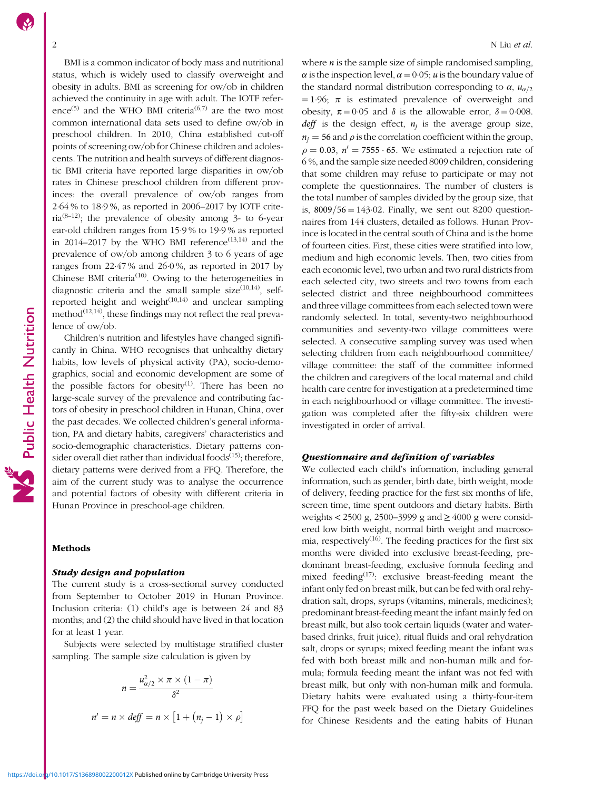BMI is a common indicator of body mass and nutritional status, which is widely used to classify overweight and obesity in adults. BMI as screening for ow/ob in children achieved the continuity in age with adult. The IOTF refer-ence<sup>([5](#page-9-0))</sup> and the WHO BMI criteria<sup>([6,7\)](#page-9-0)</sup> are the two most common international data sets used to define ow/ob in preschool children. In 2010, China established cut-off points of screening ow/ob for Chinese children and adolescents. The nutrition and health surveys of different diagnostic BMI criteria have reported large disparities in ow/ob rates in Chinese preschool children from different provinces: the overall prevalence of ow/ob ranges from 2·64 % to 18·9 %, as reported in 2006–2017 by IOTF crite-ria<sup>([8](#page-9-0)-[12](#page-10-0))</sup>; the prevalence of obesity among 3- to 6-year ear-old children ranges from 15·9 % to 19·9 % as reported in 2014–2017 by the WHO BMI reference<sup> $(13,14)$  $(13,14)$ </sup> and the prevalence of ow/ob among children 3 to 6 years of age ranges from 22·47 % and 26·0 %, as reported in 2017 by Chinese BMI criteria<sup>[\(10\)](#page-10-0)</sup>. Owing to the heterogeneities in diagnostic criteria and the small sample size $(10,14)$  $(10,14)$ , selfreported height and weight $(10,14)$  $(10,14)$  $(10,14)$  $(10,14)$  and unclear sampling method $(12,14)$  $(12,14)$  $(12,14)$  $(12,14)$ , these findings may not reflect the real prevalence of ow/ob.

Children's nutrition and lifestyles have changed significantly in China. WHO recognises that unhealthy dietary habits, low levels of physical activity (PA), socio-demographics, social and economic development are some of the possible factors for obesity<sup>[\(1](#page-9-0))</sup>. There has been no large-scale survey of the prevalence and contributing factors of obesity in preschool children in Hunan, China, over the past decades. We collected children's general information, PA and dietary habits, caregivers' characteristics and socio-demographic characteristics. Dietary patterns con-sider overall diet rather than individual foods<sup>[\(15](#page-10-0))</sup>; therefore, dietary patterns were derived from a FFQ. Therefore, the aim of the current study was to analyse the occurrence and potential factors of obesity with different criteria in Hunan Province in preschool-age children.

# Methods

## Study design and population

The current study is a cross-sectional survey conducted from September to October 2019 in Hunan Province. Inclusion criteria: (1) child's age is between 24 and 83 months; and (2) the child should have lived in that location for at least 1 year.

Subjects were selected by multistage stratified cluster sampling. The sample size calculation is given by

$$
n = \frac{u_{\alpha/2}^2 \times \pi \times (1 - \pi)}{\delta^2}
$$

$$
n' = n \times \text{def} f = n \times [1 + (n_j - 1) \times \rho]
$$

where  $n$  is the sample size of simple randomised sampling,  $\alpha$  is the inspection level,  $\alpha = 0.05$ ; *u* is the boundary value of the standard normal distribution corresponding to  $\alpha$ ,  $u_{\alpha/2}$  $= 1.96$ ;  $\pi$  is estimated prevalence of overweight and obesity,  $\pi = 0.05$  and  $\delta$  is the allowable error,  $\delta = 0.008$ . deff is the design effect,  $n_i$  is the average group size,  $n_i = 56$  and  $\rho$  is the correlation coefficient within the group,  $\rho = 0.03$ ,  $n' = 7555 \cdot 65$ . We estimated a rejection rate of 6 %, and the sample size needed 8009 children, considering that some children may refuse to participate or may not complete the questionnaires. The number of clusters is the total number of samples divided by the group size, that is,  $8009/56 = 143.02$ . Finally, we sent out 8200 questionnaires from 144 clusters, detailed as follows. Hunan Province is located in the central south of China and is the home of fourteen cities. First, these cities were stratified into low, medium and high economic levels. Then, two cities from each economic level, two urban and two rural districts from each selected city, two streets and two towns from each selected district and three neighbourhood committees and three village committees from each selected town were randomly selected. In total, seventy-two neighbourhood communities and seventy-two village committees were selected. A consecutive sampling survey was used when selecting children from each neighbourhood committee/ village committee: the staff of the committee informed the children and caregivers of the local maternal and child health care centre for investigation at a predetermined time in each neighbourhood or village committee. The investigation was completed after the fifty-six children were investigated in order of arrival.

#### Questionnaire and definition of variables

We collected each child's information, including general information, such as gender, birth date, birth weight, mode of delivery, feeding practice for the first six months of life, screen time, time spent outdoors and dietary habits. Birth weights < 2500 g, 2500–3999 g and  $\geq 4000$  g were considered low birth weight, normal birth weight and macrosomia, respectively<sup> $(16)$  $(16)$ </sup>. The feeding practices for the first six months were divided into exclusive breast-feeding, predominant breast-feeding, exclusive formula feeding and mixed feeding<sup>([17\)](#page-10-0)</sup>: exclusive breast-feeding meant the infant only fed on breast milk, but can be fed with oral rehydration salt, drops, syrups (vitamins, minerals, medicines); predominant breast-feeding meant the infant mainly fed on breast milk, but also took certain liquids (water and waterbased drinks, fruit juice), ritual fluids and oral rehydration salt, drops or syrups; mixed feeding meant the infant was fed with both breast milk and non-human milk and formula; formula feeding meant the infant was not fed with breast milk, but only with non-human milk and formula. Dietary habits were evaluated using a thirty-four-item FFQ for the past week based on the Dietary Guidelines for Chinese Residents and the eating habits of Hunan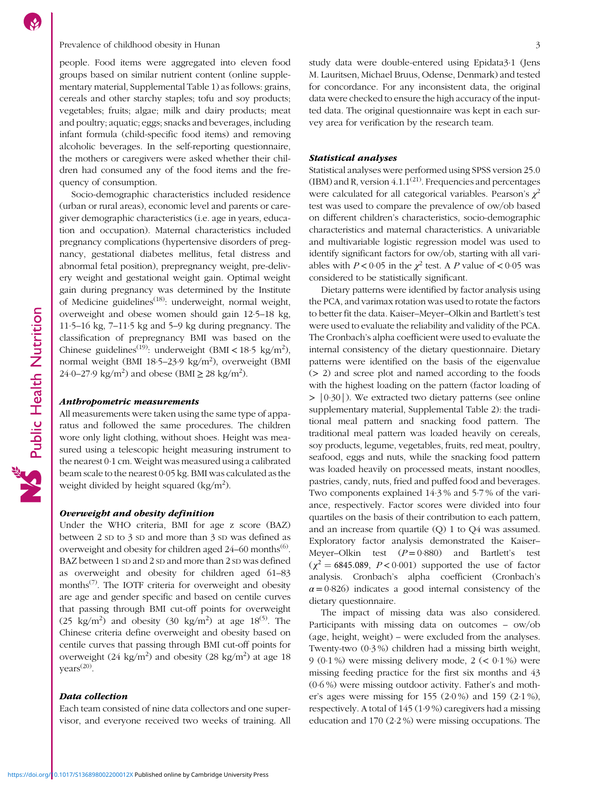#### Prevalence of childhood obesity in Hunan 3

people. Food items were aggregated into eleven food groups based on similar nutrient content (online supplementary material, Supplemental Table [1\)](https://doi.org/10.1017/S136898002200012X) as follows: grains, cereals and other starchy staples; tofu and soy products; vegetables; fruits; algae; milk and dairy products; meat and poultry; aquatic; eggs; snacks and beverages, including infant formula (child-specific food items) and removing alcoholic beverages. In the self-reporting questionnaire, the mothers or caregivers were asked whether their children had consumed any of the food items and the frequency of consumption.

Socio-demographic characteristics included residence (urban or rural areas), economic level and parents or caregiver demographic characteristics (i.e. age in years, education and occupation). Maternal characteristics included pregnancy complications (hypertensive disorders of pregnancy, gestational diabetes mellitus, fetal distress and abnormal fetal position), prepregnancy weight, pre-delivery weight and gestational weight gain. Optimal weight gain during pregnancy was determined by the Institute of Medicine guidelines<sup>([18](#page-10-0))</sup>: underweight, normal weight, overweight and obese women should gain 12·5–18 kg, 11·5–16 kg, 7–11·5 kg and 5–9 kg during pregnancy. The classification of prepregnancy BMI was based on the Chinese guidelines<sup>([19](#page-10-0))</sup>: underweight (BMI <  $18.5 \text{ kg/m}^2$ ), normal weight (BMI 18.5–23.9 kg/m<sup>2</sup>), overweight (BMI 24·0–27·9 kg/m<sup>2</sup>) and obese (BMI  $\geq$  28 kg/m<sup>2</sup>).

#### Anthropometric measurements

All measurements were taken using the same type of apparatus and followed the same procedures. The children wore only light clothing, without shoes. Height was measured using a telescopic height measuring instrument to the nearest 0·1 cm. Weight was measured using a calibrated beam scale to the nearest 0·05 kg. BMI was calculated as the weight divided by height squared (kg/m<sup>2</sup>).

#### Overweight and obesity definition

Under the WHO criteria, BMI for age z score (BAZ) between 2 SD to 3 SD and more than 3 SD was defined as overweight and obesity for children aged  $24-60$  $24-60$  $24-60$  months<sup>(6)</sup>. BAZ between 1 SD and 2 SD and more than 2 SD was defined as overweight and obesity for children aged 61–83 months<sup> $(7)$  $(7)$  $(7)$ </sup>. The IOTF criteria for overweight and obesity are age and gender specific and based on centile curves that passing through BMI cut-off points for overweight (2[5](#page-9-0) kg/m<sup>2</sup>) and obesity (30 kg/m<sup>2</sup>) at age  $18^{(5)}$ . The Chinese criteria define overweight and obesity based on centile curves that passing through BMI cut-off points for overweight  $(24 \text{ kg/m}^2)$  and obesity  $(28 \text{ kg/m}^2)$  at age 18 years<sup>[\(20\)](#page-10-0)</sup>.

# Data collection

Each team consisted of nine data collectors and one supervisor, and everyone received two weeks of training. All study data were double-entered using Epidata3·1 (Jens M. Lauritsen, Michael Bruus, Odense, Denmark) and tested for concordance. For any inconsistent data, the original data were checked to ensure the high accuracy of the inputted data. The original questionnaire was kept in each survey area for verification by the research team.

#### Statistical analyses

Statistical analyses were performed using SPSS version 25.0 (IBM) and R, version  $4.1.1^{(21)}$  $4.1.1^{(21)}$  $4.1.1^{(21)}$ . Frequencies and percentages were calculated for all categorical variables. Pearson's  $\chi^2$ test was used to compare the prevalence of ow/ob based on different children's characteristics, socio-demographic characteristics and maternal characteristics. A univariable and multivariable logistic regression model was used to identify significant factors for ow/ob, starting with all variables with  $P < 0.05$  in the  $\chi^2$  test. A P value of  $< 0.05$  was considered to be statistically significant.

Dietary patterns were identified by factor analysis using the PCA, and varimax rotation was used to rotate the factors to better fit the data. Kaiser–Meyer–Olkin and Bartlett's test were used to evaluate the reliability and validity of the PCA. The Cronbach's alpha coefficient were used to evaluate the internal consistency of the dietary questionnaire. Dietary patterns were identified on the basis of the eigenvalue (> 2) and scree plot and named according to the foods with the highest loading on the pattern (factor loading of > |0·30|). We extracted two dietary patterns (see online supplementary material, Supplemental Table [2](https://doi.org/10.1017/S136898002200012X)): the traditional meal pattern and snacking food pattern. The traditional meal pattern was loaded heavily on cereals, soy products, legume, vegetables, fruits, red meat, poultry, seafood, eggs and nuts, while the snacking food pattern was loaded heavily on processed meats, instant noodles, pastries, candy, nuts, fried and puffed food and beverages. Two components explained 14·3 % and 5·7 % of the variance, respectively. Factor scores were divided into four quartiles on the basis of their contribution to each pattern, and an increase from quartile (Q) 1 to Q4 was assumed. Exploratory factor analysis demonstrated the Kaiser– Meyer–Olkin test  $(P=0.880)$  and Bartlett's test  $(\chi^2 = 6845.089, P < 0.001)$  supported the use of factor analysis. Cronbach's alpha coefficient (Cronbach's  $\alpha = 0.826$ ) indicates a good internal consistency of the dietary questionnaire.

The impact of missing data was also considered. Participants with missing data on outcomes – ow/ob (age, height, weight) – were excluded from the analyses. Twenty-two (0·3 %) children had a missing birth weight, 9 (0.1%) were missing delivery mode,  $2 \le 0.1\%$  were missing feeding practice for the first six months and 43 (0·6 %) were missing outdoor activity. Father's and mother's ages were missing for 155 (2·0 %) and 159 (2·1 %), respectively. A total of 145 (1·9 %) caregivers had a missing education and 170 (2·2 %) were missing occupations. The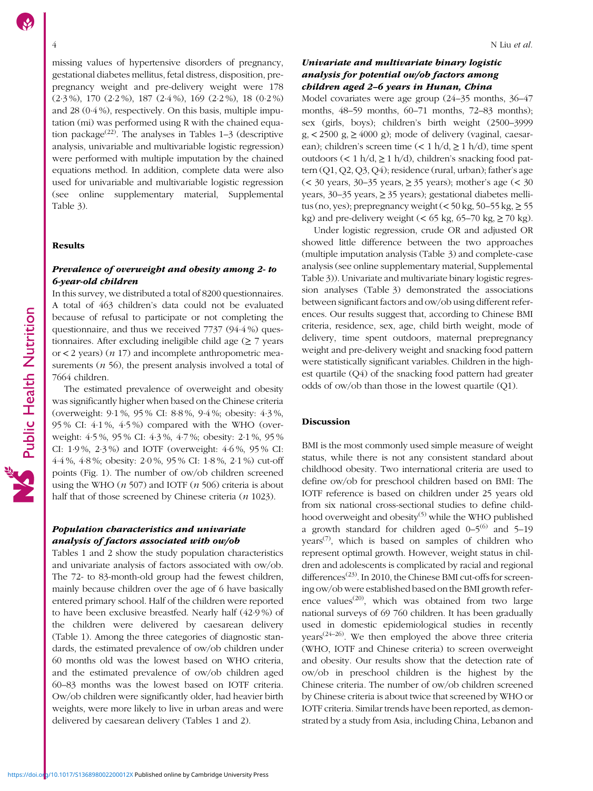missing values of hypertensive disorders of pregnancy, gestational diabetes mellitus, fetal distress, disposition, prepregnancy weight and pre-delivery weight were 178 (2·3 %), 170 (2·2 %), 187 (2·4 %), 169 (2·2 %), 18 (0·2 %) and 28 (0·4 %), respectively. On this basis, multiple imputation (mi) was performed using R with the chained equa-tion package<sup>([22](#page-10-0))</sup>. The analyses in Tables  $1-3$  $1-3$  (descriptive analysis, univariable and multivariable logistic regression) were performed with multiple imputation by the chained equations method. In addition, complete data were also used for univariable and multivariable logistic regression (see online supplementary material, Supplemental Table [3](https://doi.org/10.1017/S136898002200012X)).

### Results

# Prevalence of overweight and obesity among 2- to 6-year-old children

In this survey, we distributed a total of 8200 questionnaires. A total of 463 children's data could not be evaluated because of refusal to participate or not completing the questionnaire, and thus we received 7737 (94·4 %) questionnaires. After excluding ineligible child age  $(≥ 7$  years or  $<$  2 years) ( $n$  17) and incomplete anthropometric measurements  $(n 56)$ , the present analysis involved a total of 7664 children.

The estimated prevalence of overweight and obesity was significantly higher when based on the Chinese criteria (overweight: 9·1 %, 95 % CI: 8·8 %, 9·4 %; obesity: 4·3 %, 95 % CI: 4·1 %, 4·5 %) compared with the WHO (overweight: 4·5 %, 95 % CI: 4·3 %, 4·7 %; obesity: 2·1 %, 95 % CI: 1·9 %, 2·3 %) and IOTF (overweight: 4·6 %, 95 % CI: 4·4 %, 4·8 %; obesity: 2·0 %, 95 % CI: 1·8 %, 2·1 %) cut-off points (Fig. [1\)](#page-8-0). The number of ow/ob children screened using the WHO  $(n 507)$  and IOTF  $(n 506)$  criteria is about half that of those screened by Chinese criteria (*n* 1023).

# Population characteristics and univariate analysis of factors associated with ow/ob

Tables [1](#page-4-0) and [2](#page-5-0) show the study population characteristics and univariate analysis of factors associated with ow/ob. The 72- to 83-month-old group had the fewest children, mainly because children over the age of 6 have basically entered primary school. Half of the children were reported to have been exclusive breastfed. Nearly half (42·9 %) of the children were delivered by caesarean delivery (Table [1](#page-4-0)). Among the three categories of diagnostic standards, the estimated prevalence of ow/ob children under 60 months old was the lowest based on WHO criteria, and the estimated prevalence of ow/ob children aged 60–83 months was the lowest based on IOTF criteria. Ow/ob children were significantly older, had heavier birth weights, were more likely to live in urban areas and were delivered by caesarean delivery (Tables [1](#page-4-0) and [2](#page-5-0)).

# Univariate and multivariate binary logistic analysis for potential ow/ob factors among children aged 2–6 years in Hunan, China

Model covariates were age group (24–35 months, 36–47 months, 48–59 months, 60–71 months, 72–83 months); sex (girls, boys); children's birth weight (2500–3999  $g_{1}$  < 2500  $g_{1} \ge 4000$  g); mode of delivery (vaginal, caesarean); children's screen time (< 1 h/d,  $\geq$  1 h/d), time spent outdoors (< 1 h/d,  $\geq$  1 h/d), children's snacking food pattern (Q1, Q2, Q3, Q4); residence (rural, urban); father's age (< 30 years, 30–35 years, ≥ 35 years); mother's age (< 30 years,  $30-35$  years,  $\geq 35$  years); gestational diabetes mellitus (no, yes); prepregnancy weight  $(<$  50 kg, 50–55 kg,  $\ge$  55 kg) and pre-delivery weight  $(< 65 \text{ kg}, 65-70 \text{ kg}, \geq 70 \text{ kg})$ .

Under logistic regression, crude OR and adjusted OR showed little difference between the two approaches (multiple imputation analysis (Table [3\)](#page-7-0) and complete-case analysis (see online supplementary material, Supplemental Table [3](https://doi.org/10.1017/S136898002200012X))). Univariate and multivariate binary logistic regression analyses (Table [3](#page-7-0)) demonstrated the associations between significant factors and ow/ob using different references. Our results suggest that, according to Chinese BMI criteria, residence, sex, age, child birth weight, mode of delivery, time spent outdoors, maternal prepregnancy weight and pre-delivery weight and snacking food pattern were statistically significant variables. Children in the highest quartile (Q4) of the snacking food pattern had greater odds of ow/ob than those in the lowest quartile (Q1).

#### Discussion

BMI is the most commonly used simple measure of weight status, while there is not any consistent standard about childhood obesity. Two international criteria are used to define ow/ob for preschool children based on BMI: The IOTF reference is based on children under 25 years old from six national cross-sectional studies to define child-hood overweight and obesity<sup>([5](#page-9-0))</sup> while the WHO published a growth standard for children aged  $0-5^{(6)}$  $0-5^{(6)}$  $0-5^{(6)}$  and  $5-19$ years<sup> $(7)$  $(7)$ </sup>, which is based on samples of children who represent optimal growth. However, weight status in children and adolescents is complicated by racial and regional differences<sup>([23](#page-10-0))</sup>. In 2010, the Chinese BMI cut-offs for screening ow/ob were established based on the BMI growth refer-ence values<sup>([20](#page-10-0))</sup>, which was obtained from two large national surveys of 69 760 children. It has been gradually used in domestic epidemiological studies in recently  $years<sup>(24–26)</sup>. We then employed the above three criteria$  $years<sup>(24–26)</sup>. We then employed the above three criteria$  $years<sup>(24–26)</sup>. We then employed the above three criteria$  $years<sup>(24–26)</sup>. We then employed the above three criteria$  $years<sup>(24–26)</sup>. We then employed the above three criteria$ (WHO, IOTF and Chinese criteria) to screen overweight and obesity. Our results show that the detection rate of ow/ob in preschool children is the highest by the Chinese criteria. The number of ow/ob children screened by Chinese criteria is about twice that screened by WHO or IOTF criteria. Similar trends have been reported, as demonstrated by a study from Asia, including China, Lebanon and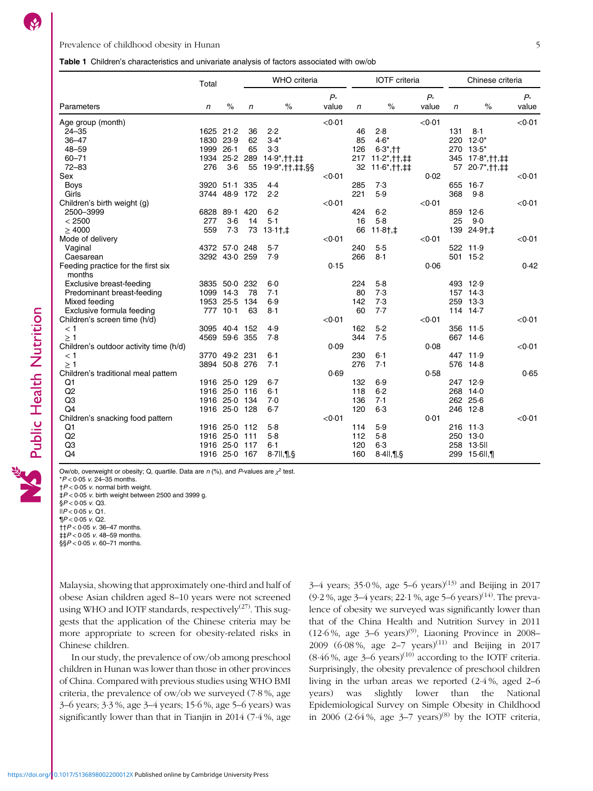# <span id="page-4-0"></span>Table 1 Children's characteristics and univariate analysis of factors associated with ow/ob

|                                        | Total     |               |            | WHO criteria        |        |     | <b>IOTF</b> criteria  |        |     | Chinese criteria   |                  |
|----------------------------------------|-----------|---------------|------------|---------------------|--------|-----|-----------------------|--------|-----|--------------------|------------------|
|                                        |           |               |            |                     | $P -$  |     |                       | $P -$  |     |                    | $P-$             |
| Parameters                             | n         | $\%$          | $\sqrt{n}$ | $\%$                | value  | n   | $\%$                  | value  | n   | $\%$               | value            |
| Age group (month)                      |           |               |            |                     | < 0.01 |     |                       | < 0.01 |     |                    | < 0.01           |
| $24 - 35$                              | 1625 21.2 |               | 36         | 2.2                 |        | 46  | 2.8                   |        | 131 | 8.1                |                  |
| $36 - 47$                              | 1830 23.9 |               | 62         | $3.4*$              |        | 85  | $4.6*$                |        |     | 220 12.0*          |                  |
| $48 - 59$                              | 1999      | $26-1$        | 65         | 3.3                 |        | 126 | $6.3^*$ , ††          |        | 270 | $13.5*$            |                  |
| $60 - 71$                              | 1934      | 25.2          | 289        | 14.9*, † †, ‡‡      |        | 217 | $11.2$ *, † †, ‡ ‡    |        | 345 | $17.8^*$ , † †, ‡‡ |                  |
| $72 - 83$                              | 276       | $3-6$         | 55         | 19.9*,††,‡‡,§§      |        | 32  | $11.6^*$ , † †, ‡‡    |        | 57  | 20.7*, † †, ‡‡     |                  |
| Sex                                    |           |               |            |                     | < 0.01 |     |                       | 0.02   |     |                    | < 0.01           |
| <b>Boys</b>                            | 3920      | $51-1$        | 335        | 4.4                 |        | 285 | 7.3                   |        | 655 | $16-7$             |                  |
| Girls                                  | 3744      | 48.9          | 172        | 2.2                 |        | 221 | 5.9                   |        | 368 | 9.8                |                  |
| Children's birth weight (g)            |           |               |            |                     | < 0.01 |     |                       | < 0.01 |     |                    | $<$ 0 $\cdot$ 01 |
| 2500-3999                              | 6828      | 89.1          | 420        | $6 - 2$             |        | 424 | 6.2                   |        | 859 | 12.6               |                  |
| < 2500                                 | 277       | $3-6$         | 14         | $5-1$               |        | 16  | 5.8                   |        | 25  | 9.0                |                  |
| >4000                                  | 559       | 7.3           | 73         | $13.1$ <sub>1</sub> |        | 66  | $11.8$ †,‡            |        |     | 139 24.9†,‡        |                  |
| Mode of delivery                       |           |               |            |                     | < 0.01 |     |                       | < 0.01 |     |                    | < 0.01           |
| Vaginal                                | 4372      | 57.0          | 248        | 5.7                 |        | 240 | 5.5                   |        |     | 522 11.9           |                  |
| Caesarean                              |           | 3292 43.0     | 259        | 7.9                 |        | 266 | 8.1                   |        |     | 501 15-2           |                  |
| Feeding practice for the first six     |           |               |            |                     | 0.15   |     |                       | 0.06   |     |                    | 0.42             |
| months                                 |           |               |            |                     |        |     |                       |        |     |                    |                  |
| Exclusive breast-feeding               | 3835      | 50.0          | 232        | 6.0                 |        | 224 | $5-8$                 |        |     | 493 12.9           |                  |
| Predominant breast-feeding             | 1099      | 14.3          | 78         | 7.1                 |        | 80  | 7.3                   |        |     | 157 14.3           |                  |
| Mixed feeding                          |           | 1953 25.5     | 134        | 6.9                 |        | 142 | 7.3                   |        | 259 | 13.3               |                  |
| Exclusive formula feeding              | 777       | $10-1$        | 63         | 8.1                 |        | 60  | 7.7                   |        |     | 114 14.7           |                  |
| Children's screen time (h/d)           |           |               |            |                     | < 0.01 |     |                       | < 0.01 |     |                    | < 0.01           |
| $<$ 1                                  | 3095      | 40.4          | 152        | 4.9                 |        | 162 | 5.2                   |        |     | 356 11.5           |                  |
| $\geq 1$                               | 4569      | 59.6 355      |            | 7.8                 |        | 344 | 7.5                   |        |     | 667 14.6           |                  |
| Children's outdoor activity time (h/d) |           |               |            |                     | 0.09   |     |                       | 0.08   |     |                    | <0∙01            |
| $<$ 1                                  |           | 3770 49.2     | 231        | $6 - 1$             |        | 230 | $6 - 1$               |        |     | 447 11.9           |                  |
| $\geq$ 1                               | 3894      | 50.8 276      |            | 7.1                 |        | 276 | 7.1                   |        | 576 | 14.8               |                  |
| Children's traditional meal pattern    |           |               |            |                     | 0.69   |     |                       | 0.58   |     |                    | 0.65             |
| Q1                                     |           | 1916 25-0 129 |            | $6 - 7$             |        | 132 | 6.9                   |        |     | 247 12.9           |                  |
| Q2                                     |           | 1916 25-0     | 116        | $6 - 1$             |        | 118 | $6 - 2$               |        |     | 268 14-0           |                  |
| Q <sub>3</sub>                         | 1916      | 25.0          | 134        | 7.0                 |        | 136 | 7.1                   |        |     | 262 25.6           |                  |
| Q <sub>4</sub>                         |           | 1916 25-0     | 128        | $6 - 7$             |        | 120 | 6.3                   |        |     | 246 12.8           |                  |
| Children's snacking food pattern       |           |               |            |                     | < 0.01 |     |                       | 0.01   |     |                    | < 0.01           |
| Q1                                     |           | 1916 25.0     | 112        | 5.8                 |        | 114 | 5.9                   |        |     | 216 11.3           |                  |
| Q2                                     |           | 1916 25.0     | 111        | 5.8                 |        | 112 | $5-8$                 |        |     | 250 13-0           |                  |
| Q <sub>3</sub>                         |           | 1916 25.0     | 117        | $6 - 1$             |        | 120 | $6-3$                 |        | 258 | 13.5               |                  |
| Q4                                     |           | 1916 25-0 167 |            | 8.71, 1.9           |        | 160 | $8.4$ ll, $\P$ , $\S$ |        |     | 299 15-6ll,¶       |                  |

Ow/ob, overweight or obesity; Q, quartile. Data are  $n$  (%), and P-values are  $\chi^2$  test.

 $*P < 0.05$  v. 24-35 months.

 $\uparrow$  P < 0.05 v. normal birth weight.

 $\frac{1}{2}P < 0.05$  v. birth weight between 2500 and 3999 g.

 $$P < 0.05$  v. Q3.

Public Health Nutrition

 $||P < 0.05$  v. Q1.  $\P P < 0.05$  v. Q2.

 $\uparrow + P < 0.05$  v. 36-47 months.

- $\sharp\sharp P < 0.05$  v. 48-59 months.
- $\frac{1}{5}$ § $P < 0.05$  v. 60–71 months.

Malaysia, showing that approximately one-third and half of obese Asian children aged 8–10 years were not screened using WHO and IOTF standards, respectively<sup>[\(27\)](#page-10-0)</sup>. This suggests that the application of the Chinese criteria may be more appropriate to screen for obesity-related risks in Chinese children.

In our study, the prevalence of ow/ob among preschool children in Hunan was lower than those in other provinces of China. Compared with previous studies using WHO BMI criteria, the prevalence of ow/ob we surveyed (7·8 %, age 3–6 years; 3·3 %, age 3–4 years; 15·6 %, age 5–6 years) was significantly lower than that in Tianjin in 2014 (7·4 %, age

3–4 years;  $35.0\%$ , age 5–6 years)<sup>([13](#page-10-0))</sup> and Beijing in 2017 (9·2 %, age 3–4 years; 22·1 %, age 5–6 years)[\(14\)](#page-10-0). The prevalence of obesity we surveyed was significantly lower than that of the China Health and Nutrition Survey in 2011  $(12.6\%,$  age  $3-6$  years)<sup>([9](#page-10-0))</sup>, Liaoning Province in 2008– 2009 (6·08%, age 2–7 years)<sup>[\(11\)](#page-10-0)</sup> and Beijing in 2017  $(8.46\%, \text{ age } 3-6 \text{ years})^{(10)}$  $(8.46\%, \text{ age } 3-6 \text{ years})^{(10)}$  $(8.46\%, \text{ age } 3-6 \text{ years})^{(10)}$  according to the IOTF criteria. Surprisingly, the obesity prevalence of preschool children living in the urban areas we reported (2·4 %, aged 2–6 years) was slightly lower than the National Epidemiological Survey on Simple Obesity in Childhood in 2006 (2.64%, age  $3-7$  years)<sup>[\(8\)](#page-9-0)</sup> by the IOTF criteria,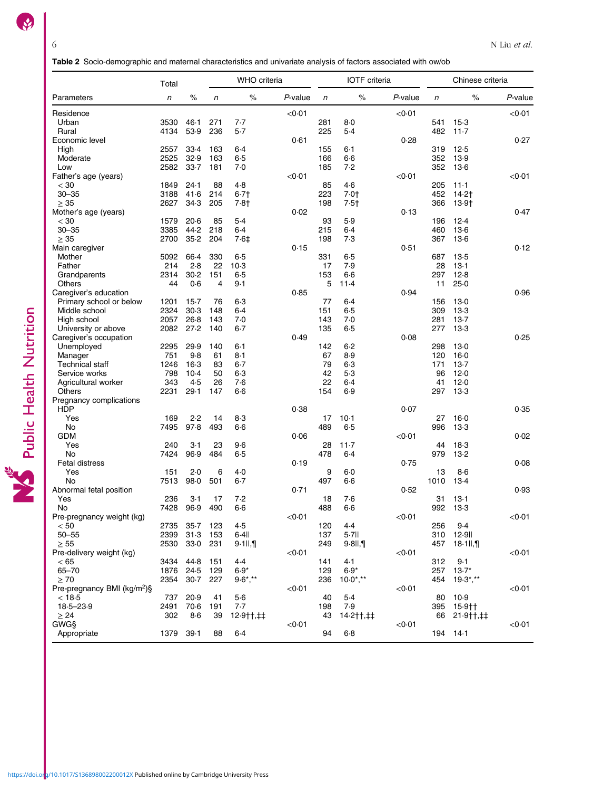Table 2 Socio-demographic and maternal characteristics and univariate analysis of factors associated with ow/ob

<span id="page-5-0"></span>

|                                         | Total      |          |                | <b>WHO</b> criteria |         |              | <b>IOTF</b> criteria     |                  |      | Chinese criteria |            |
|-----------------------------------------|------------|----------|----------------|---------------------|---------|--------------|--------------------------|------------------|------|------------------|------------|
| Parameters                              | $\sqrt{n}$ | $\%$     | n              | $\%$                | P-value | $\mathsf{n}$ | $\%$                     | $P$ -value       | n    | $\%$             | $P$ -value |
| Residence                               |            |          |                |                     | < 0.01  |              |                          | < 0.01           |      |                  | < 0.01     |
| Urban                                   | 3530       | 46.1     | 271            | 7.7                 |         | 281          | $8-0$                    |                  | 541  | $15-3$           |            |
| Rural                                   | 4134       | 53.9     | 236            | 5.7                 |         | 225          | 5.4                      |                  | 482  | 11.7             |            |
| Economic level                          |            |          |                |                     | 0.61    |              |                          | 0.28             |      |                  | 0.27       |
| High                                    | 2557       | 33.4     | 163            | $6-4$               |         | 155          | $6 - 1$                  |                  | 319  | 12.5             |            |
| Moderate                                | 2525       | 32.9     | 163            | 6.5                 |         | 166          | $6-6$                    |                  | 352  | 13.9             |            |
| Low                                     | 2582       | 33.7     | 181            | 7.0                 |         | 185          | 7.2                      |                  |      | 352 13.6         |            |
| Father's age (years)                    |            |          |                |                     | < 0.01  |              |                          | $<$ 0 $\cdot$ 01 |      |                  | <0∙01      |
| $<$ 30                                  | 1849       | 24.1     | 88             | 4.8                 |         | 85           | 4.6                      |                  | 205  | 11.1             |            |
| $30 - 35$                               | 3188       | 41.6     | 214            | $6 - 7$             |         | 223          | 7.0 <sub>†</sub>         |                  | 452  | 14.2†            |            |
| $\geq 35$                               | 2627       | 34.3     | 205            | 7.8†                |         | 198          | $7.5+$                   |                  |      | 366 13.9†        |            |
| Mother's age (years)                    |            |          |                |                     | 0.02    |              |                          | 0.13             |      |                  | 0.47       |
| $<$ 30                                  | 1579       | 20.6     | 85             | 5.4                 |         | 93           | 5.9                      |                  | 196  | 12.4             |            |
| $30 - 35$                               | 3385       | 44.2     | 218            | $6-4$               |         | 215          | $6-4$                    |                  | 460  | $13-6$           |            |
| $\geq 35$                               | 2700       | 35.2     | 204            | 7.6‡                |         | 198          | 7.3                      |                  |      | 367 13.6         |            |
| Main caregiver                          |            |          |                |                     | 0.15    |              |                          | 0.51             |      |                  | 0.12       |
| Mother                                  | 5092       | 66.4     | 330            | 6.5                 |         | 331          | $6 - 5$                  |                  | 687  | 13.5             |            |
| Father                                  | 214        | 2.8      | 22             | $10-3$              |         | 17           | 7.9                      |                  | 28   | 13.1             |            |
| Grandparents                            | 2314       | 30.2     | 151            | 6.5                 |         | 153          | $6-6$                    |                  | 297  | 12.8             |            |
| Others                                  | 44         | 0.6      | $\overline{4}$ | 9.1                 |         | 5            | 11.4                     |                  | 11   | 25.0             |            |
| Caregiver's education                   |            |          |                |                     | 0.85    |              |                          | 0.94             |      |                  | 0.96       |
| Primary school or below                 | 1201       | $15-7$   | 76             | 6.3                 |         | 77           | $6-4$                    |                  | 156  | $13-0$           |            |
| Middle school                           | 2324       | 30.3     | 148            | 6.4                 |         | 151          | $6 - 5$                  |                  | 309  | 13.3             |            |
| High school                             | 2057       | $26 - 8$ | 143            | 7.0                 |         | 143          | 7.0                      |                  | 281  | 13.7             |            |
| University or above                     | 2082 27.2  |          | 140            | $6-7$               |         | 135          | $6 - 5$                  |                  | 277  | $13-3$           |            |
| Caregiver's occupation                  |            |          |                |                     | 0.49    |              |                          | 0.08             |      |                  | 0.25       |
| Unemployed                              | 2295       | 29.9     | 140            | $6 - 1$             |         | 142          | $6-2$                    |                  | 298  | $13-0$           |            |
| Manager                                 | 751        | 9.8      | 61             | $8-1$               |         | 67           | 8.9                      |                  | 120  | 16.0             |            |
| <b>Technical staff</b>                  | 1246       | $16-3$   | 83             | $6-7$               |         | 79           | $6-3$                    |                  | 171  | 13.7             |            |
| Service works                           | 798        | $10-4$   | 50             | $6-3$               |         | 42           | 5.3                      |                  | 96   | 12.0             |            |
| Agricultural worker                     | 343        | 4.5      | 26             | 7.6                 |         | 22           | $6-4$                    |                  | 41   | 12.0             |            |
| Others                                  | 2231       | 29.1     | 147            | $6-6$               |         | 154          | 6.9                      |                  | 297  | 13.3             |            |
| Pregnancy complications                 |            |          |                |                     |         |              |                          |                  |      |                  |            |
| <b>HDP</b>                              |            |          |                |                     | 0.38    |              |                          | 0.07             |      |                  | 0.35       |
| Yes                                     | 169        | 2.2      | 14             | 8.3                 |         | 17           | $10-1$                   |                  | 27   | 16.0             |            |
| No                                      | 7495       | 97.8     | 493            | $6-6$               |         | 489          | $6 - 5$                  |                  | 996  | 13.3             |            |
| <b>GDM</b>                              |            |          |                |                     | 0.06    |              |                          | $<$ 0 $\cdot$ 01 |      |                  | 0.02       |
| Yes                                     | 240        | 3.1      | 23             | $9-6$               |         | 28           | $11-7$                   |                  | 44   | 18.3             |            |
| No                                      | 7424       | 96.9     | 484            | $6 - 5$             |         | 478          | $6-4$                    |                  | 979  | 13.2             |            |
| Fetal distress                          |            |          |                |                     | 0.19    |              |                          | 0.75             |      |                  | 0.08       |
| Yes                                     | 151        | 2.0      | 6              | 4.0                 |         | 9            | $6 - 0$                  |                  | 13   | $8-6$            |            |
| No                                      | 7513       | 98.0     | 501            | $6-7$               |         | 497          | $6-6$                    |                  | 1010 | 13.4             |            |
| Abnormal fetal position                 |            |          |                |                     | 0.71    |              |                          | 0.52             |      |                  | 0.93       |
| Yes                                     | 236        | $3-1$    | 17             | 7.2                 |         | 18           | 7.6                      |                  | 31   | $13-1$           |            |
| No                                      | 7428       | 96.9     | 490            | $6-6$               |         | 488          | $6-6$                    |                  | 992  | $13-3$           |            |
| Pre-pregnancy weight (kg)               |            |          |                |                     | < 0.01  |              |                          | < 0.01           |      |                  | < 0.01     |
| < 50                                    | 2735       | $35 - 7$ | 123            | 4.5                 |         | 120          | 4.4                      |                  | 256  | 9.4              |            |
| $50 - 55$                               | 2399       | 31.3     | 153            | $6.4$ II            |         | 137          | $5.7$ II                 |                  |      | 310 12-91        |            |
| $\geq 55$                               | 2530       | 33.0     | 231            | $9.1$ ll, $\P$      |         | 249          | $9.8$ II, 1              |                  |      | 457 18.1II,      |            |
| Pre-delivery weight (kg)                |            |          |                |                     | < 0.01  |              |                          | < 0.01           |      |                  | <0∙01      |
| < 65                                    | 3434       | 44.8     | 151            | 4.4                 |         | 141          | 4.1                      |                  | 312  | 9.1              |            |
| $65 - 70$                               | 1876       | 24.5     | 129            | $6.9*$              |         | 129          | $6.9*$                   |                  |      | 257 13.7*        |            |
| $\geq 70$                               | 2354       | $30-7$   | 227            | $9.6$ *,**          |         | 236          | $10.0$ <sup>*</sup> , ** |                  |      | 454 19.3*,**     |            |
| Pre-pregnancy BMI (kg/m <sup>2</sup> )§ |            |          |                |                     | < 0.01  |              |                          | $<$ 0 $\cdot$ 01 |      |                  | <0∙01      |
| < 18.5                                  | 737        | 20.9     | 41             | 5.6                 |         | 40           | 5.4                      |                  | 80   | 10.9             |            |
| $18.5 - 23.9$                           | 2491       | $70-6$   | 191            | 7.7                 |         | 198          | 7.9                      |                  |      | 395 15.9††       |            |
| $\geq 24$                               | 302        | $8-6$    | 39             | $12.9$ ††,‡‡        |         | 43           | 14.2††,‡‡                |                  |      | 66 21.9††,‡‡     |            |
| GWGS                                    |            |          |                |                     | < 0.01  |              |                          | $<$ 0 $\cdot$ 01 |      |                  | <0∙01      |
| Appropriate                             | 1379       | 39.1     | 88             | 6.4                 |         | 94           | $6-8$                    |                  |      | 194 14.1         |            |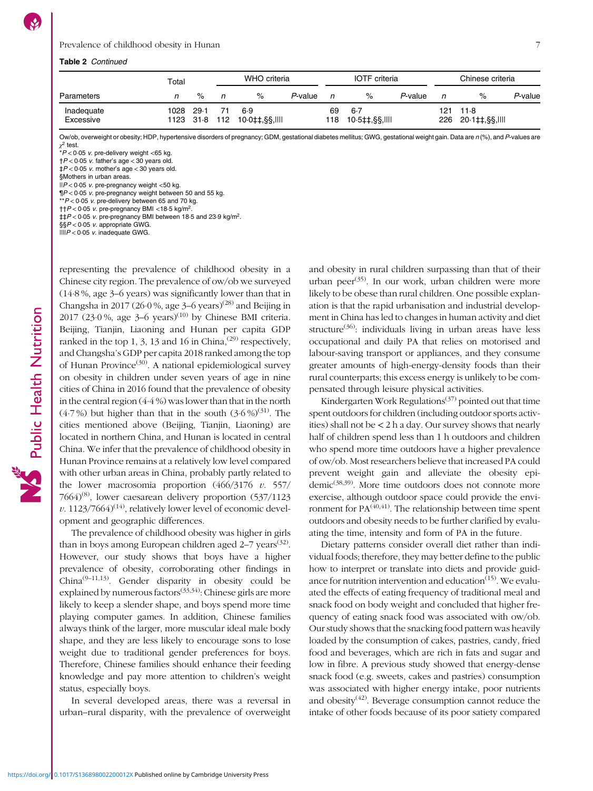# Prevalence of childhood obesity in Hunan 7

#### Table 2 Continued

|                         | Total |      |     | WHO criteria                         |         |           | <b>IOTF</b> criteria    |         |     | Chinese criteria           |         |
|-------------------------|-------|------|-----|--------------------------------------|---------|-----------|-------------------------|---------|-----|----------------------------|---------|
| Parameters              | n     | %    | n   | $\%$                                 | P-value | n         | %                       | P-value | n   | $\%$                       | P-value |
| Inadequate<br>Excessive | 1028  | 29.1 | -71 | 6.9<br>1123 318 112 100 \$ 1.88. III |         | 69<br>118 | $6-7$<br>10·5‡‡.§§.IIII |         | 121 | 11.8<br>226 20.1‡‡,§§,IIII |         |

Ow/ob, overweight or obesity; HDP, hypertensive disorders of pregnancy; GDM, gestational diabetes mellitus; GWG, gestational weight gain. Data are n (%), and P-values are  $\chi^2$  test.

 $\check{r}$ P < 0 $\cdot$ 05 v. pre-delivery weight <65 kg.

 $\uparrow$  P < 0.05 v. father's age < 30 years old.  $\frac{1}{4}P < 0.05$  v. mother's age  $<$  30 years old.

§Mothers in urban areas.

 $||P| < 0.05$  v. pre-pregnancy weight  $<$  50 kg.

¶P < 0·05 v. pre-pregnancy weight between 50 and 55 kg.

 $*P < 0.05$  v. pre-delivery between 65 and 70 kg.

††P < 0·05 v. pre-pregnancy BMI <18·5 kg/m2.

 $\text{11}P < 0.05$  v. pre-pregnancy BMI between 18.5 and 23.9 kg/m<sup>2</sup>.

§§P < 0·05 v. appropriate GWG.

 $\text{III}P < 0.05$  v. inadequate GWG.

representing the prevalence of childhood obesity in a Chinese city region. The prevalence of ow/ob we surveyed (14·8 %, age 3–6 years) was significantly lower than that in Changsha in 2017 (26.0%, age  $3-6$  years)<sup>([28](#page-10-0))</sup> and Beijing in 2017 (23 $\cdot$ 0%, age 3–6 years)<sup>[\(10\)](#page-10-0)</sup> by Chinese BMI criteria. Beijing, Tianjin, Liaoning and Hunan per capita GDP ranked in the top 1, 3, 13 and 16 in China, $(29)$  respectively, and Changsha's GDP per capita 2018 ranked among the top of Hunan Province<sup>[\(30\)](#page-10-0)</sup>. A national epidemiological survey on obesity in children under seven years of age in nine cities of China in 2016 found that the prevalence of obesity in the central region (4·4 %) was lower than that in the north  $(4.7\%)$  but higher than that in the south  $(3.6\%)^{(31)}$  $(3.6\%)^{(31)}$  $(3.6\%)^{(31)}$ . The cities mentioned above (Beijing, Tianjin, Liaoning) are located in northern China, and Hunan is located in central China. We infer that the prevalence of childhood obesity in Hunan Province remains at a relatively low level compared with other urban areas in China, probably partly related to the lower macrosomia proportion  $(466/3176 \, v. 557/$ 7664)<sup>[\(8\)](#page-9-0)</sup>, lower caesarean delivery proportion  $(537/1123)$ v. 1123/7664)<sup>[\(14\)](#page-10-0)</sup>, relatively lower level of economic development and geographic differences.

The prevalence of childhood obesity was higher in girls than in boys among European children aged 2-7 years<sup>([32](#page-10-0))</sup>. However, our study shows that boys have a higher prevalence of obesity, corroborating other findings in China[\(9](#page-10-0)–[11,13\)](#page-10-0). Gender disparity in obesity could be explained by numerous factors<sup> $(33,34)$  $(33,34)$  $(33,34)$  $(33,34)$ </sup>: Chinese girls are more likely to keep a slender shape, and boys spend more time playing computer games. In addition, Chinese families always think of the larger, more muscular ideal male body shape, and they are less likely to encourage sons to lose weight due to traditional gender preferences for boys. Therefore, Chinese families should enhance their feeding knowledge and pay more attention to children's weight status, especially boys.

In several developed areas, there was a reversal in urban–rural disparity, with the prevalence of overweight and obesity in rural children surpassing than that of their urban peer<sup>([35](#page-10-0))</sup>. In our work, urban children were more likely to be obese than rural children. One possible explanation is that the rapid urbanisation and industrial development in China has led to changes in human activity and diet structure<sup>([36](#page-10-0))</sup>: individuals living in urban areas have less occupational and daily PA that relies on motorised and labour-saving transport or appliances, and they consume greater amounts of high-energy-density foods than their rural counterparts; this excess energy is unlikely to be compensated through leisure physical activities.

Kindergarten Work Regulations<sup> $(37)$  $(37)$  $(37)$ </sup> pointed out that time spent outdoors for children (including outdoor sports activities) shall not be < 2 h a day. Our survey shows that nearly half of children spend less than 1 h outdoors and children who spend more time outdoors have a higher prevalence of ow/ob. Most researchers believe that increased PA could prevent weight gain and alleviate the obesity epidemic[\(38](#page-10-0),[39](#page-10-0)). More time outdoors does not connote more exercise, although outdoor space could provide the environment for  $PA^{(40,41)}$  $PA^{(40,41)}$  $PA^{(40,41)}$ . The relationship between time spent outdoors and obesity needs to be further clarified by evaluating the time, intensity and form of PA in the future.

Dietary patterns consider overall diet rather than individual foods; therefore, they may better define to the public how to interpret or translate into diets and provide guidance for nutrition intervention and education $(15)$  $(15)$  $(15)$ . We evaluated the effects of eating frequency of traditional meal and snack food on body weight and concluded that higher frequency of eating snack food was associated with ow/ob. Our study shows that the snacking food pattern was heavily loaded by the consumption of cakes, pastries, candy, fried food and beverages, which are rich in fats and sugar and low in fibre. A previous study showed that energy-dense snack food (e.g. sweets, cakes and pastries) consumption was associated with higher energy intake, poor nutrients and obesity $(42)$  $(42)$  $(42)$ . Beverage consumption cannot reduce the intake of other foods because of its poor satiety compared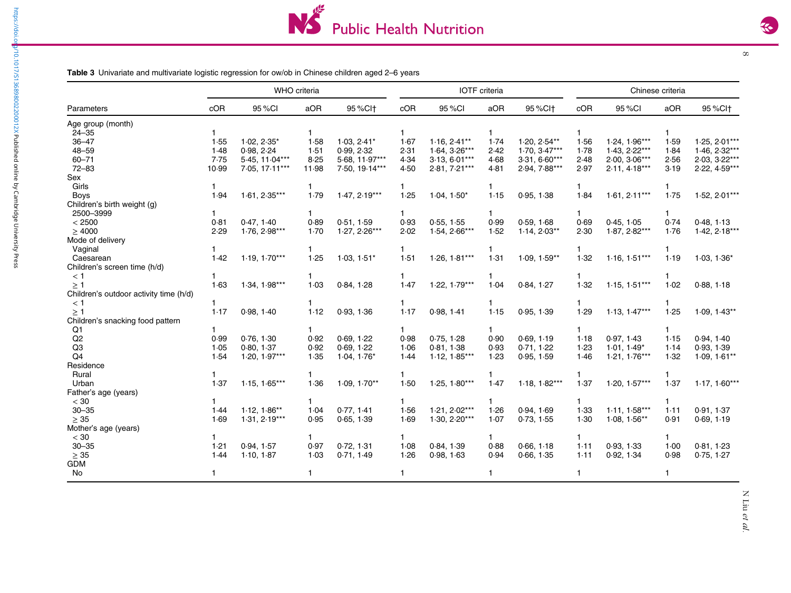Table 3 Univariate and multivariate logistic regression for ow/ob in Chinese children aged 2–6 years

|                                        |       |                 | <b>WHO</b> criteria |                      |              |                 | <b>IOTF</b> criteria |                      |      |                 | Chinese criteria |                      |
|----------------------------------------|-------|-----------------|---------------------|----------------------|--------------|-----------------|----------------------|----------------------|------|-----------------|------------------|----------------------|
| Parameters                             | cOR   | 95 % CI         | aOR                 | 95 % Cl <sup>+</sup> | cOR          | 95 % CI         | aOR                  | 95 % Cl <sup>+</sup> | cOR  | 95 %CI          | aOR              | 95 % Cl <sup>+</sup> |
| Age group (month)                      |       |                 |                     |                      |              |                 |                      |                      |      |                 |                  |                      |
| $24 - 35$                              |       |                 | 1.                  |                      |              |                 | 1.                   |                      |      |                 |                  |                      |
| $36 - 47$                              | 1.55  | $1.02, 2.35*$   | 1.58                | $1.03, 2.41*$        | 1.67         | $1.16, 2.41**$  | 1.74                 | $1.20, 2.54**$       | 1.56 | $1.24, 1.96***$ | 1.59             | $1.25, 2.01***$      |
| $48 - 59$                              | 1.48  | 0.98, 2.24      | 1.51                | 0.99, 2.32           | 2.31         | $1.64, 3.26***$ | 2.42                 | $1.70, 3.47***$      | 1.78 | $1.43, 2.22***$ | 1.84             | $1.46, 2.32***$      |
| $60 - 71$                              | 7.75  | 5.45. 11.04***  | 8.25                | 5.68, 11.97***       | 4.34         | $3.13, 6.01***$ | 4.68                 | $3.31.6.60***$       | 2.48 | $2.00.3.06***$  | 2.56             | 2.03. 3.22***        |
| $72 - 83$                              | 10.99 | 7.05, 17.11***  | 11.98               | 7.50, 19.14***       | 4.50         | 2.81, 7.21***   | 4.81                 | 2.94, 7.88***        | 2.97 | $2.11, 4.18***$ | 3.19             | 2.22, 4.59***        |
| Sex                                    |       |                 |                     |                      |              |                 |                      |                      |      |                 |                  |                      |
| Girls                                  |       |                 | 1.                  |                      |              |                 | 1.                   |                      |      |                 |                  |                      |
| <b>Boys</b>                            | 1.94  | $1.61, 2.35***$ | 1.79                | $1.47, 2.19***$      | 1.25         | $1.04, 1.50*$   | 1.15                 | 0.95, 1.38           | 1.84 | $1.61, 2.11***$ | 1.75             | $1.52, 2.01***$      |
| Children's birth weight (g)            |       |                 |                     |                      |              |                 |                      |                      |      |                 |                  |                      |
| 2500-3999                              |       |                 | 1.                  |                      | 1.           |                 | 1.                   |                      | 1.   |                 |                  |                      |
| < 2500                                 | 0.81  | 0.47, 1.40      | 0.89                | 0.51, 1.59           | 0.93         | 0.55, 1.55      | 0.99                 | 0.59, 1.68           | 0.69 | 0.45, 1.05      | 0.74             | 0.48, 1.13           |
| $\geq 4000$                            | 2.29  | $1.76, 2.98***$ | 1.70                | $1.27, 2.26***$      | 2.02         | $1.54, 2.66***$ | 1.52                 | $1.14, 2.03**$       | 2.30 | $1.87, 2.82***$ | 1.76             | $1.42, 2.18***$      |
| Mode of delivery                       |       |                 |                     |                      |              |                 |                      |                      |      |                 |                  |                      |
| Vaginal                                |       |                 | 1.                  |                      | 1.           |                 | 1                    |                      |      |                 |                  |                      |
| Caesarean                              | 1.42  | $1.19, 1.70***$ | 1.25                | $1.03, 1.51*$        | 1.51         | $1.26, 1.81***$ | 1.31                 | $1.09, 1.59**$       | 1.32 | $1.16, 1.51***$ | 1.19             | $1.03, 1.36*$        |
| Children's screen time (h/d)           |       |                 |                     |                      |              |                 |                      |                      |      |                 |                  |                      |
| < 1                                    |       |                 | 1.                  |                      | 1            |                 | 1.                   |                      |      |                 |                  |                      |
| $\geq$ 1                               | 1.63  | $1.34, 1.98***$ | 1.03                | 0.84, 1.28           | 1.47         | $1.22, 1.79***$ | 1.04                 | 0.84, 1.27           | 1.32 | $1.15, 1.51***$ | 1.02             | 0.88, 1.18           |
| Children's outdoor activity time (h/d) |       |                 |                     |                      |              |                 |                      |                      |      |                 |                  |                      |
| $<$ 1                                  | 1     |                 | 1.                  |                      | $\mathbf{1}$ |                 | 1                    |                      |      |                 |                  |                      |
| $\geq$ 1                               | 1.17  | 0.98, 1.40      | 1.12                | 0.93, 1.36           | 1.17         | 0.98, 1.41      | 1.15                 | 0.95, 1.39           | 1.29 | $1.13, 1.47***$ | 1.25             | $1.09, 1.43**$       |
| Children's snacking food pattern       |       |                 |                     |                      |              |                 |                      |                      |      |                 |                  |                      |
| Q <sub>1</sub>                         |       |                 | 1.                  |                      | 1.           |                 | 1.                   |                      |      |                 |                  |                      |
| Q2                                     | 0.99  | 0.76, 1.30      | 0.92                | 0.69, 1.22           | 0.98         | 0.75, 1.28      | 0.90                 | 0.69, 1.19           | 1.18 | 0.97, 1.43      | 1.15             | 0.94, 1.40           |
| Q <sub>3</sub>                         | 1.05  | 0.80, 1.37      | 0.92                | 0.69, 1.22           | 1.06         | 0.81.1.38       | 0.93                 | 0.71, 1.22           | 1.23 | $1.01.1.49*$    | 1.14             | 0.93, 1.39           |
| Q <sub>4</sub>                         | 1.54  | $1.20, 1.97***$ | 1.35                | $1.04, 1.76*$        | 1.44         | $1.12, 1.85***$ | 1.23                 | 0.95, 1.59           | 1.46 | $1.21, 1.76***$ | 1.32             | $1.09, 1.61**$       |
| Residence                              |       |                 |                     |                      |              |                 |                      |                      |      |                 |                  |                      |
| Rural                                  |       |                 | 1.                  |                      | 1            |                 | 1                    |                      |      |                 |                  |                      |
| Urban                                  | 1.37  | $1.15, 1.65***$ | 1.36                | $1.09, 1.70**$       | 1.50         | $1.25, 1.80***$ | 1.47                 | $1.18, 1.82***$      | 1.37 | $1.20, 1.57***$ | 1.37             | $1.17, 1.60***$      |
| Father's age (years)                   |       |                 |                     |                      |              |                 |                      |                      |      |                 |                  |                      |
| < 30                                   |       |                 | 1.                  |                      | 1.           |                 | 1.                   |                      |      |                 |                  |                      |
| $30 - 35$                              | 1.44  | $1.12, 1.86**$  | 1.04                | 0.77, 1.41           | 1.56         | $1.21, 2.02***$ | 1.26                 | 0.94, 1.69           | 1.33 | $1.11, 1.58***$ | 1.11             | 0.91, 1.37           |
| $\geq 35$                              | 1.69  | $1.31, 2.19***$ | 0.95                | 0.65, 1.39           | 1.69         | $1.30, 2.20***$ | 1.07                 | 0.73, 1.55           | 1.30 | $1.08, 1.56**$  | 0.91             | 0.69, 1.19           |
| Mother's age (years)                   |       |                 |                     |                      |              |                 |                      |                      |      |                 |                  |                      |
| < 30                                   |       |                 | 1.                  |                      | 1.           |                 | 1.                   |                      | 1.   |                 |                  |                      |
| $30 - 35$                              | 1.21  | 0.94, 1.57      | 0.97                | 0.72, 1.31           | 1.08         | 0.84, 1.39      | 0.88                 | 0.66, 1.18           | 1.11 | 0.93, 1.33      | 1.00             | 0.81, 1.23           |
| $\geq 35$                              | 1.44  | 1.10, 1.87      | 1.03                | 0.71, 1.49           | 1.26         | 0.98, 1.63      | 0.94                 | 0.66, 1.35           | 1.11 | 0.92, 1.34      | 0.98             | 0.75, 1.27           |
| <b>GDM</b>                             |       |                 |                     |                      |              |                 |                      |                      |      |                 |                  |                      |
| No                                     | 1     |                 | 1.                  |                      | 1.           |                 | $\mathbf{1}$         |                      | 1    |                 | -1               |                      |

<span id="page-7-0"></span>https://doi.o

N Liu et al.

 $\infty$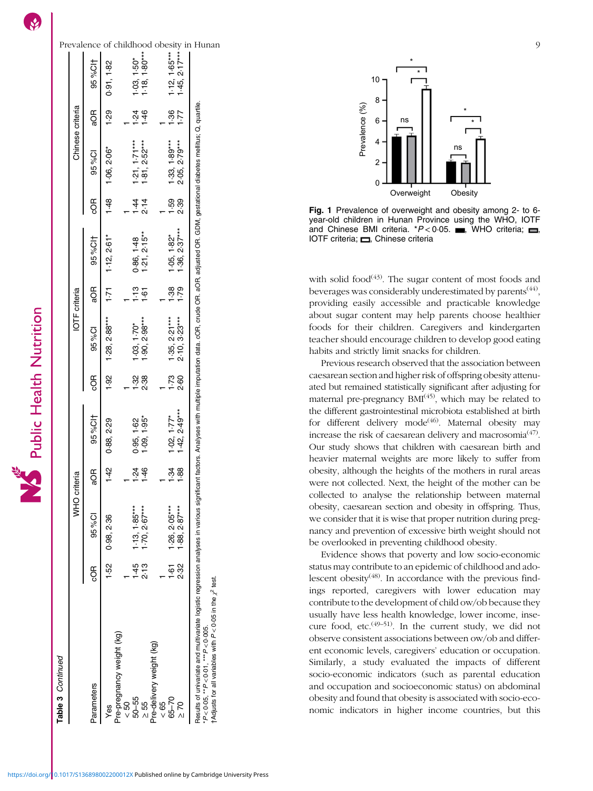| ī                        |
|--------------------------|
| $\overline{\mathtt{ad}}$ |
|                          |
|                          |

 $\overline{\mathsf{S}}$ 

Table 3 Continued Table 3 Continued

<span id="page-8-0"></span>

| Chinese criteria<br><b>IOTF</b> criteria<br>WHO criteria | 95%Cl <sup>+</sup><br>ЯОв<br>95 % CI<br>ξ<br>95%Clt<br>ЯОв<br>95 % CI<br>бg<br>95%Cl <sup>+</sup><br>Œ<br>ල<br>ඝ<br>95 % CI | 0.91, 1.82<br>1.29<br>1.06, 2.06*<br>1.48<br>2.61<br>1.12<br>1.71<br>1.28, 2.88<br>1.92<br>2.29<br>0.88,<br>$\frac{5}{4}$<br>0.98, 2.36 | $1.50^{*}$<br>1.80***<br>$\frac{8}{1}$<br>$\ddot{4}$<br>ġ<br>$1.71**$<br>$2.52***$<br>ភ្ន<br>2.14<br>$2.15*$<br>0.86, 1.4<br>م.<br>ب<br>$\ddot{\circ}$<br>$2.98*$<br>$1.70*$<br><u>ဗွံ ဓွ</u><br>$1.38$<br>2.38<br>95<br>1.62<br>0.95, 1.09<br>$\frac{5}{4}$<br>$1.85**$<br>2.67<br><u>.is</u> | $1.65***$<br>2.17***<br>1.45, 1.45<br>$\ddot{3}$<br>$1.89***$<br>2.79***<br>1.33, 0.5, 2.05,<br>$1.59$<br>2.39<br>$2.37***$<br>$1.82*$<br>$1.36$<br>$1.36$<br>82.<br>89<br>$2.27***$<br>3.23***<br>1.35<br>$1.73$<br>2.60<br>$2.49***$<br>$1.77*$<br>1.42<br>$\frac{9}{2}$ $\frac{8}{2}$<br>$2.95***$<br>2.87***<br>$\frac{126}{188}$ |
|----------------------------------------------------------|-----------------------------------------------------------------------------------------------------------------------------|-----------------------------------------------------------------------------------------------------------------------------------------|------------------------------------------------------------------------------------------------------------------------------------------------------------------------------------------------------------------------------------------------------------------------------------------------|---------------------------------------------------------------------------------------------------------------------------------------------------------------------------------------------------------------------------------------------------------------------------------------------------------------------------------------|
|                                                          |                                                                                                                             |                                                                                                                                         |                                                                                                                                                                                                                                                                                                |                                                                                                                                                                                                                                                                                                                                       |
| lable 3 Collined                                         | <b>GOR</b><br>Parameters                                                                                                    | 1.52                                                                                                                                    | 2.13<br>Yes<br>Pre-pregnancy weight (kg)<br>< 50<br>- −<br>50–55<br>≥ 55<br>Pre-delivery weight (kg)                                                                                                                                                                                           | $1.61$<br>2.32<br>$65 - 70$<br>$\geq 70$<br>< 65                                                                                                                                                                                                                                                                                      |



Fig. 1 Prevalence of overweight and obesity among 2- to 6 year-old children in Hunan Province using the WHO, IOTF and Chinese BMI criteria. \* $P < 0.05$ . WHO criteria;  $\Box$ IOTF criteria;  $\Box$ , Chinese criteria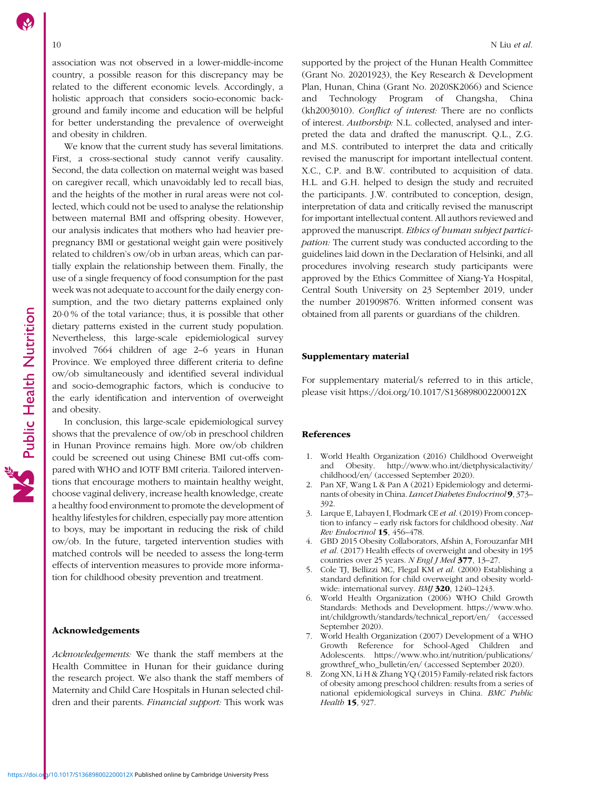Public Health Nutrition

<span id="page-9-0"></span>association was not observed in a lower-middle-income country, a possible reason for this discrepancy may be related to the different economic levels. Accordingly, a holistic approach that considers socio-economic background and family income and education will be helpful for better understanding the prevalence of overweight and obesity in children.

We know that the current study has several limitations. First, a cross-sectional study cannot verify causality. Second, the data collection on maternal weight was based on caregiver recall, which unavoidably led to recall bias, and the heights of the mother in rural areas were not collected, which could not be used to analyse the relationship between maternal BMI and offspring obesity. However, our analysis indicates that mothers who had heavier prepregnancy BMI or gestational weight gain were positively related to children's ow/ob in urban areas, which can partially explain the relationship between them. Finally, the use of a single frequency of food consumption for the past week was not adequate to account for the daily energy consumption, and the two dietary patterns explained only 20·0 % of the total variance; thus, it is possible that other dietary patterns existed in the current study population. Nevertheless, this large-scale epidemiological survey involved 7664 children of age 2–6 years in Hunan Province. We employed three different criteria to define ow/ob simultaneously and identified several individual and socio-demographic factors, which is conducive to the early identification and intervention of overweight and obesity.

In conclusion, this large-scale epidemiological survey shows that the prevalence of ow/ob in preschool children in Hunan Province remains high. More ow/ob children could be screened out using Chinese BMI cut-offs compared with WHO and IOTF BMI criteria. Tailored interventions that encourage mothers to maintain healthy weight, choose vaginal delivery, increase health knowledge, create a healthy food environment to promote the development of healthy lifestyles for children, especially pay more attention to boys, may be important in reducing the risk of child ow/ob. In the future, targeted intervention studies with matched controls will be needed to assess the long-term effects of intervention measures to provide more information for childhood obesity prevention and treatment.

#### Acknowledgements

Acknowledgements: We thank the staff members at the Health Committee in Hunan for their guidance during the research project. We also thank the staff members of Maternity and Child Care Hospitals in Hunan selected children and their parents. Financial support: This work was

supported by the project of the Hunan Health Committee (Grant No. 20201923), the Key Research & Development Plan, Hunan, China (Grant No. 2020SK2066) and Science and Technology Program of Changsha, China (kh2003010). Conflict of interest: There are no conflicts of interest. Authorship: N.L. collected, analysed and interpreted the data and drafted the manuscript. Q.L., Z.G. and M.S. contributed to interpret the data and critically revised the manuscript for important intellectual content. X.C., C.P. and B.W. contributed to acquisition of data. H.L. and G.H. helped to design the study and recruited the participants. J.W. contributed to conception, design, interpretation of data and critically revised the manuscript for important intellectual content. All authors reviewed and approved the manuscript. Ethics of human subject participation: The current study was conducted according to the guidelines laid down in the Declaration of Helsinki, and all procedures involving research study participants were approved by the Ethics Committee of Xiang-Ya Hospital, Central South University on 23 September 2019, under the number 201909876. Written informed consent was obtained from all parents or guardians of the children.

#### Supplementary material

For supplementary material/s referred to in this article, please visit<https://doi.org/10.1017/S136898002200012X>

#### References

- 1. World Health Organization (2016) Childhood Overweight and Obesity. [http://www.who.int/dietphysicalactivity/](http://www.who.int/dietphysicalactivity/childhood/en/) [childhood/en/](http://www.who.int/dietphysicalactivity/childhood/en/) (accessed September 2020).
- 2. Pan XF, Wang L & Pan A (2021) Epidemiology and determinants of obesity in China. Lancet Diabetes Endocrinol 9, 373– 392.
- 3. Larque E, Labayen I, Flodmark CE et al. (2019) From conception to infancy – early risk factors for childhood obesity. Nat Rev Endocrinol 15, 456–478.
- 4. GBD 2015 Obesity Collaborators, Afshin A, Forouzanfar MH et al. (2017) Health effects of overweight and obesity in 195 countries over 25 years. N Engl J Med  $377$ , 13-27.
- 5. Cole TJ, Bellizzi MC, Flegal KM et al. (2000) Establishing a standard definition for child overweight and obesity worldwide: international survey. BMJ 320, 1240-1243.
- 6. World Health Organization (2006) WHO Child Growth Standards: Methods and Development. [https://www.who.](https://www.who.int/childgrowth/standards/technical_report/en/) [int/childgrowth/standards/technical\\_report/en/](https://www.who.int/childgrowth/standards/technical_report/en/) (accessed September 2020).
- 7. World Health Organization (2007) Development of a WHO Growth Reference for School-Aged Children and Adolescents. [https://www.who.int/nutrition/publications/](https://www.who.int/nutrition/publications/growthref_who_bulletin/en/) [growthref\\_who\\_bulletin/en/](https://www.who.int/nutrition/publications/growthref_who_bulletin/en/) (accessed September 2020).
- 8. Zong XN, Li H & Zhang YQ (2015) Family-related risk factors of obesity among preschool children: results from a series of national epidemiological surveys in China. BMC Public Health 15, 927.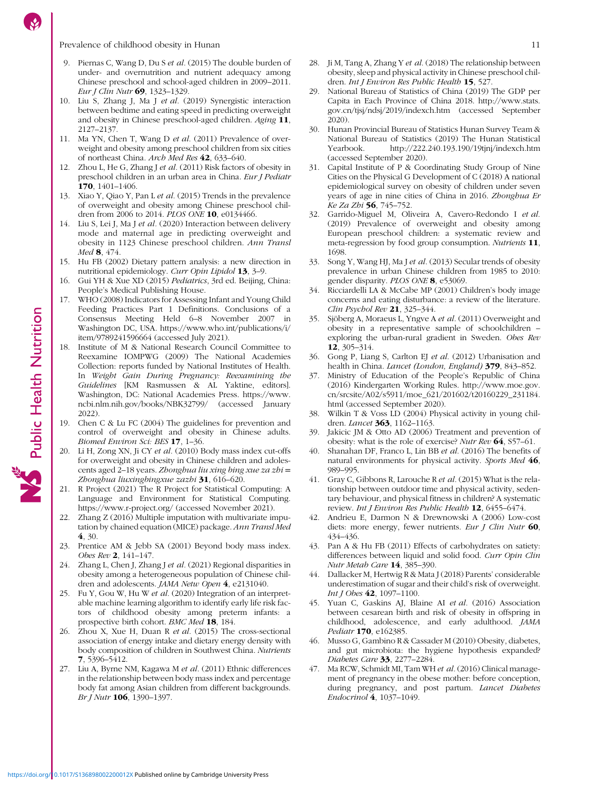<span id="page-10-0"></span>Prevalence of childhood obesity in Hunan 11

- 9. Piernas C, Wang D, Du S et al. (2015) The double burden of under- and overnutrition and nutrient adequacy among Chinese preschool and school-aged children in 2009–2011. Eur J Clin Nutr 69, 1323-1329.
- 10. Liu S, Zhang J, Ma J et al. (2019) Synergistic interaction between bedtime and eating speed in predicting overweight and obesity in Chinese preschool-aged children. Aging 11, 2127–2137.
- 11. Ma YN, Chen T, Wang D et al. (2011) Prevalence of overweight and obesity among preschool children from six cities of northeast China. Arch Med Res 42, 633–640.
- 12. Zhou L, He G, Zhang J et al. (2011) Risk factors of obesity in preschool children in an urban area in China. Eur J Pediatr 170, 1401–1406.
- 13. Xiao Y, Qiao Y, Pan L et al. (2015) Trends in the prevalence of overweight and obesity among Chinese preschool children from 2006 to 2014. PLOS ONE 10, e0134466.
- 14. Liu S, Lei J, Ma J et al. (2020) Interaction between delivery mode and maternal age in predicting overweight and obesity in 1123 Chinese preschool children. Ann Transl Med **8**, 474.
- 15. Hu FB (2002) Dietary pattern analysis: a new direction in nutritional epidemiology. Curr Opin Lipidol 13, 3–9.
- 16. Gui YH & Xue XD (2015) Pediatrics, 3rd ed. Beijing, China: People's Medical Publishing House.
- 17. WHO (2008) Indicators for Assessing Infant and Young Child Feeding Practices Part 1 Definitions. Conclusions of a Consensus Meeting Held 6–8 November 2007 in Washington DC, USA. [https://www.who.int/publications/i/](https://www.who.int/publications/i/item/9789241596664) [item/9789241596664](https://www.who.int/publications/i/item/9789241596664) (accessed July 2021).
- 18. Institute of M & National Research Council Committee to Reexamine IOMPWG (2009) The National Academies Collection: reports funded by National Institutes of Health. In Weight Gain During Pregnancy: Reexamining the Guidelines [KM Rasmussen & AL Yaktine, editors]. Washington, DC: National Academies Press. [https://www.](https://www.ncbi.nlm.nih.gov/books/NBK32799/) [ncbi.nlm.nih.gov/books/NBK32799/](https://www.ncbi.nlm.nih.gov/books/NBK32799/) (accessed January 2022).
- 19. Chen C & Lu FC (2004) The guidelines for prevention and control of overweight and obesity in Chinese adults. Biomed Environ Sci: BES 17, 1–36.
- 20. Li H, Zong XN, Ji CY et al. (2010) Body mass index cut-offs for overweight and obesity in Chinese children and adolescents aged 2-18 years. Zhonghua liu xing bing xue za zhi = Zhonghua liuxingbingxue zazhi 31, 616–620.
- 21. R Project (2021) The R Project for Statistical Computing: A Language and Environment for Statistical Computing. [https://www.r-project.org/](https://www.r-project.org/(accessed November 2021)) (accessed November 2021).
- 22. Zhang Z (2016) Multiple imputation with multivariate imputation by chained equation (MICE) package. Ann Transl Med 4, 30.
- 23. Prentice AM & Jebb SA (2001) Beyond body mass index. Obes Rev 2, 141–147.
- 24. Zhang L, Chen J, Zhang J et al. (2021) Regional disparities in obesity among a heterogeneous population of Chinese children and adolescents. JAMA Netw Open 4, e2131040.
- 25. Fu Y, Gou W, Hu W et al. (2020) Integration of an interpretable machine learning algorithm to identify early life risk factors of childhood obesity among preterm infants: a prospective birth cohort. BMC Med 18, 184.
- 26. Zhou X, Xue H, Duan R et al. (2015) The cross-sectional association of energy intake and dietary energy density with body composition of children in Southwest China. Nutrients 7, 5396–5412.
- 27. Liu A, Byrne NM, Kagawa M et al. (2011) Ethnic differences in the relationship between body mass index and percentage body fat among Asian children from different backgrounds. Br J Nutr **106**, 1390–1397.
- 28. Ji M, Tang A, Zhang Y et al. (2018) The relationship between obesity, sleep and physical activity in Chinese preschool children. Int I Environ Res Public Health 15, 527.
- 29. National Bureau of Statistics of China (2019) The GDP per Capita in Each Province of China 2018. [http://www.stats.](http://www.stats.gov.cn/tjsj/ndsj/2019/indexch.htm) [gov.cn/tjsj/ndsj/2019/indexch.htm](http://www.stats.gov.cn/tjsj/ndsj/2019/indexch.htm) (accessed September 2020).
- 30. Hunan Provincial Bureau of Statistics Hunan Survey Team & National Bureau of Statistics (2019) The Hunan Statistical Yearbook.<http://222.240.193.190/19tjnj/indexch.htm> (accessed September 2020).
- 31. Capital Institute of P & Coordinating Study Group of Nine Cities on the Physical G Development of C (2018) A national epidemiological survey on obesity of children under seven years of age in nine cities of China in 2016. Zhonghua Er Ke Za Zhi 56, 745-752.
- 32. Garrido-Miguel M, Oliveira A, Cavero-Redondo I et al. (2019) Prevalence of overweight and obesity among European preschool children: a systematic review and meta-regression by food group consumption. Nutrients 11, 1698.
- 33. Song Y, Wang HJ, Ma J et al. (2013) Secular trends of obesity prevalence in urban Chinese children from 1985 to 2010: gender disparity. PLOS ONE 8, e53069.
- 34. Ricciardelli LA & McCabe MP (2001) Children's body image concerns and eating disturbance: a review of the literature. Clin Psychol Rev 21, 325–344.
- 35. Sjöberg A, Moraeus L, Yngve A et al. (2011) Overweight and obesity in a representative sample of schoolchildren – exploring the urban-rural gradient in Sweden. Obes Rev 12, 305–314.
- 36. Gong P, Liang S, Carlton EJ et al. (2012) Urbanisation and health in China. Lancet (London, England) 379, 843–852.
- 37. Ministry of Education of the People's Republic of China (2016) Kindergarten Working Rules. [http://www.moe.gov.](http://www.moe.gov.cn/srcsite/A02/s5911/moe_621/201602/t20160229_231184.html) [cn/srcsite/A02/s5911/moe\\_621/201602/t20160229\\_231184.](http://www.moe.gov.cn/srcsite/A02/s5911/moe_621/201602/t20160229_231184.html) [html](http://www.moe.gov.cn/srcsite/A02/s5911/moe_621/201602/t20160229_231184.html) (accessed September 2020).
- 38. Wilkin T & Voss LD (2004) Physical activity in young children. *Lancet* **363**, 1162-1163.
- 39. Jakicic JM & Otto AD (2006) Treatment and prevention of obesity: what is the role of exercise? Nutr Rev 64, S57–61.
- 40. Shanahan DF, Franco L, Lin BB et al. (2016) The benefits of natural environments for physical activity. Sports Med 46, 989–995.
- 41. Gray C, Gibbons R, Larouche R et al. (2015) What is the relationship between outdoor time and physical activity, sedentary behaviour, and physical fitness in children? A systematic review. Int J Environ Res Public Health 12, 6455-6474.
- 42. Andrieu E, Darmon N & Drewnowski A (2006) Low-cost diets: more energy, fewer nutrients. Eur J Clin Nutr  $60$ , 434–436.
- 43. Pan A & Hu FB (2011) Effects of carbohydrates on satiety: differences between liquid and solid food. Curr Opin Clin Nutr Metab Care 14, 385–390.
- 44. Dallacker M, Hertwig R & Mata J (2018) Parents' considerable underestimation of sugar and their child's risk of overweight. Int J Obes 42, 1097–1100.
- 45. Yuan C, Gaskins AJ, Blaine AI et al. (2016) Association between cesarean birth and risk of obesity in offspring in childhood, adolescence, and early adulthood. JAMA Pediatr 170, e162385.
- 46. Musso G, Gambino R & Cassader M (2010) Obesity, diabetes, and gut microbiota: the hygiene hypothesis expanded? Diabetes Care 33, 2277–2284.
- 47. Ma RCW, Schmidt MI, Tam WH et al. (2016) Clinical management of pregnancy in the obese mother: before conception, during pregnancy, and post partum. Lancet Diabetes Endocrinol 4, 1037–1049.